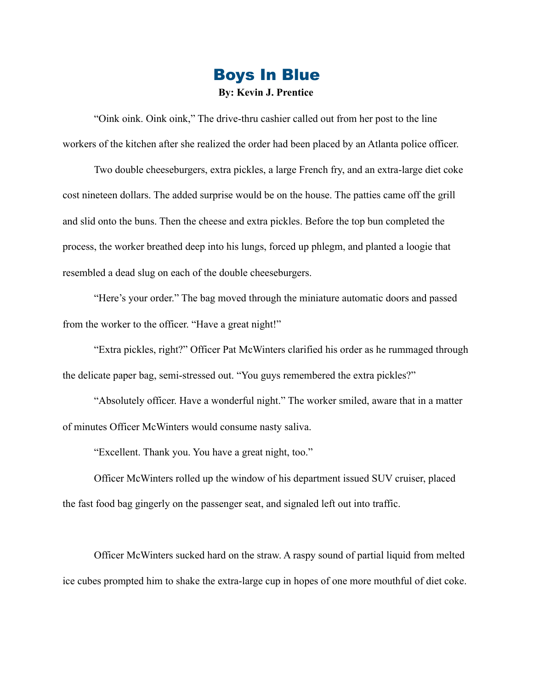## Boys In Blue **By: Kevin J. Prentice**

 "Oink oink. Oink oink," The drive-thru cashier called out from her post to the line workers of the kitchen after she realized the order had been placed by an Atlanta police officer.

 Two double cheeseburgers, extra pickles, a large French fry, and an extra-large diet coke cost nineteen dollars. The added surprise would be on the house. The patties came off the grill and slid onto the buns. Then the cheese and extra pickles. Before the top bun completed the process, the worker breathed deep into his lungs, forced up phlegm, and planted a loogie that resembled a dead slug on each of the double cheeseburgers.

 "Here's your order." The bag moved through the miniature automatic doors and passed from the worker to the officer. "Have a great night!"

 "Extra pickles, right?" Officer Pat McWinters clarified his order as he rummaged through the delicate paper bag, semi-stressed out. "You guys remembered the extra pickles?"

 "Absolutely officer. Have a wonderful night." The worker smiled, aware that in a matter of minutes Officer McWinters would consume nasty saliva.

"Excellent. Thank you. You have a great night, too."

 Officer McWinters rolled up the window of his department issued SUV cruiser, placed the fast food bag gingerly on the passenger seat, and signaled left out into traffic.

 Officer McWinters sucked hard on the straw. A raspy sound of partial liquid from melted ice cubes prompted him to shake the extra-large cup in hopes of one more mouthful of diet coke.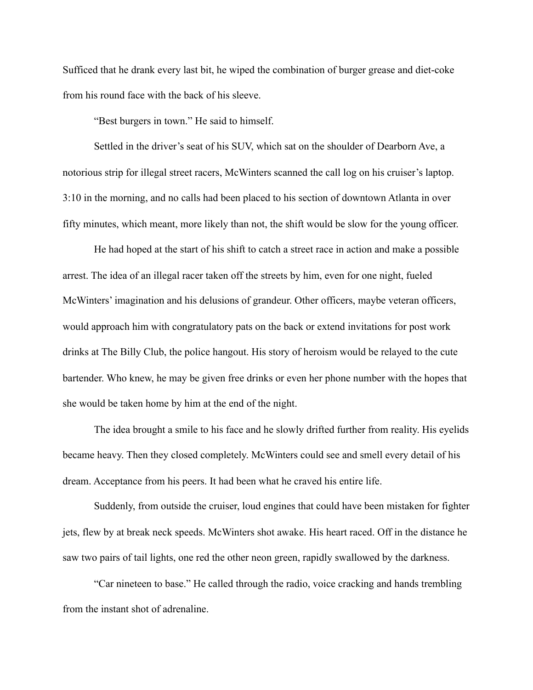Sufficed that he drank every last bit, he wiped the combination of burger grease and diet-coke from his round face with the back of his sleeve.

"Best burgers in town." He said to himself.

 Settled in the driver's seat of his SUV, which sat on the shoulder of Dearborn Ave, a notorious strip for illegal street racers, McWinters scanned the call log on his cruiser's laptop. 3:10 in the morning, and no calls had been placed to his section of downtown Atlanta in over fifty minutes, which meant, more likely than not, the shift would be slow for the young officer.

 He had hoped at the start of his shift to catch a street race in action and make a possible arrest. The idea of an illegal racer taken off the streets by him, even for one night, fueled McWinters' imagination and his delusions of grandeur. Other officers, maybe veteran officers, would approach him with congratulatory pats on the back or extend invitations for post work drinks at The Billy Club, the police hangout. His story of heroism would be relayed to the cute bartender. Who knew, he may be given free drinks or even her phone number with the hopes that she would be taken home by him at the end of the night.

 The idea brought a smile to his face and he slowly drifted further from reality. His eyelids became heavy. Then they closed completely. McWinters could see and smell every detail of his dream. Acceptance from his peers. It had been what he craved his entire life.

 Suddenly, from outside the cruiser, loud engines that could have been mistaken for fighter jets, flew by at break neck speeds. McWinters shot awake. His heart raced. Off in the distance he saw two pairs of tail lights, one red the other neon green, rapidly swallowed by the darkness.

 "Car nineteen to base." He called through the radio, voice cracking and hands trembling from the instant shot of adrenaline.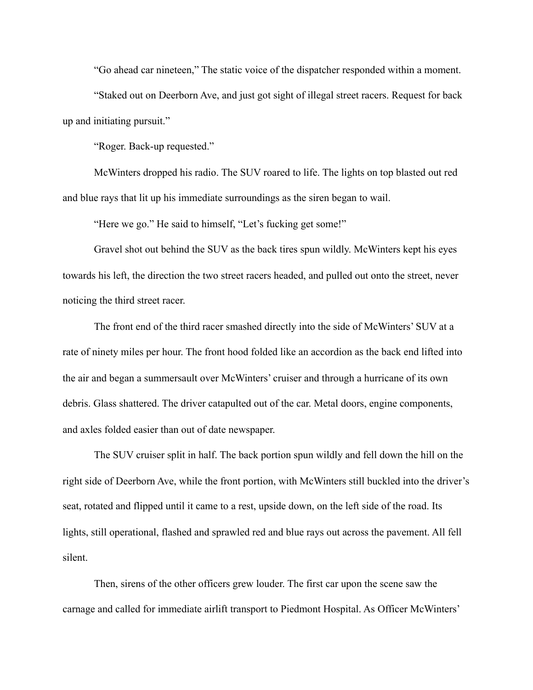"Go ahead car nineteen," The static voice of the dispatcher responded within a moment.

 "Staked out on Deerborn Ave, and just got sight of illegal street racers. Request for back up and initiating pursuit."

"Roger. Back-up requested."

 McWinters dropped his radio. The SUV roared to life. The lights on top blasted out red and blue rays that lit up his immediate surroundings as the siren began to wail.

"Here we go." He said to himself, "Let's fucking get some!"

 Gravel shot out behind the SUV as the back tires spun wildly. McWinters kept his eyes towards his left, the direction the two street racers headed, and pulled out onto the street, never noticing the third street racer.

 The front end of the third racer smashed directly into the side of McWinters' SUV at a rate of ninety miles per hour. The front hood folded like an accordion as the back end lifted into the air and began a summersault over McWinters' cruiser and through a hurricane of its own debris. Glass shattered. The driver catapulted out of the car. Metal doors, engine components, and axles folded easier than out of date newspaper.

 The SUV cruiser split in half. The back portion spun wildly and fell down the hill on the right side of Deerborn Ave, while the front portion, with McWinters still buckled into the driver's seat, rotated and flipped until it came to a rest, upside down, on the left side of the road. Its lights, still operational, flashed and sprawled red and blue rays out across the pavement. All fell silent.

 Then, sirens of the other officers grew louder. The first car upon the scene saw the carnage and called for immediate airlift transport to Piedmont Hospital. As Officer McWinters'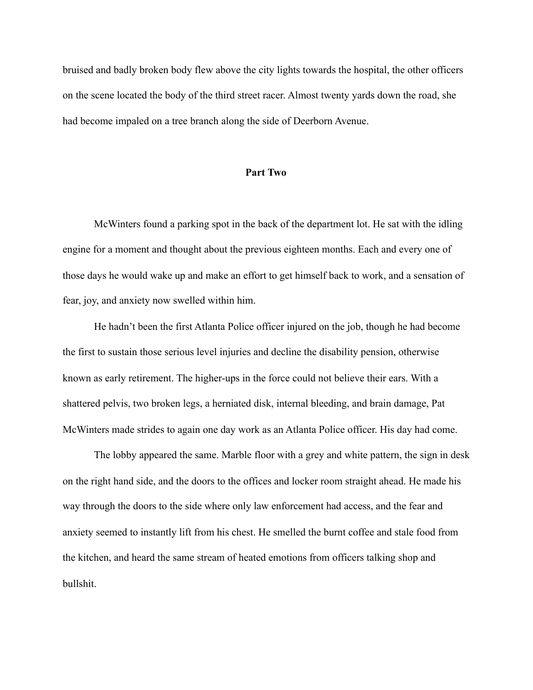bruised and badly broken body flew above the city lights towards the hospital, the other officers on the scene located the body of the third street racer. Almost twenty yards down the road, she had become impaled on a tree branch along the side of Deerborn Avenue.

## **Part Two**

 McWinters found a parking spot in the back of the department lot. He sat with the idling engine for a moment and thought about the previous eighteen months. Each and every one of those days he would wake up and make an effort to get himself back to work, and a sensation of fear, joy, and anxiety now swelled within him.

 He hadn't been the first Atlanta Police officer injured on the job, though he had become the first to sustain those serious level injuries and decline the disability pension, otherwise known as early retirement. The higher-ups in the force could not believe their ears. With a shattered pelvis, two broken legs, a herniated disk, internal bleeding, and brain damage, Pat McWinters made strides to again one day work as an Atlanta Police officer. His day had come.

 The lobby appeared the same. Marble floor with a grey and white pattern, the sign in desk on the right hand side, and the doors to the offices and locker room straight ahead. He made his way through the doors to the side where only law enforcement had access, and the fear and anxiety seemed to instantly lift from his chest. He smelled the burnt coffee and stale food from the kitchen, and heard the same stream of heated emotions from officers talking shop and bullshit.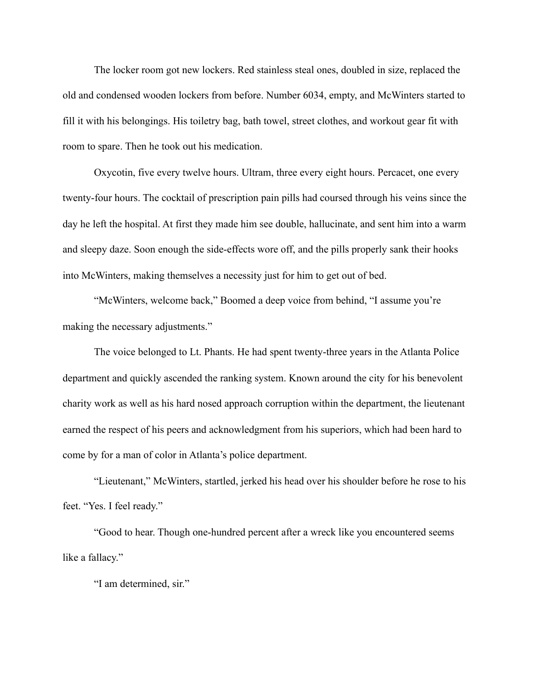The locker room got new lockers. Red stainless steal ones, doubled in size, replaced the old and condensed wooden lockers from before. Number 6034, empty, and McWinters started to fill it with his belongings. His toiletry bag, bath towel, street clothes, and workout gear fit with room to spare. Then he took out his medication.

 Oxycotin, five every twelve hours. Ultram, three every eight hours. Percacet, one every twenty-four hours. The cocktail of prescription pain pills had coursed through his veins since the day he left the hospital. At first they made him see double, hallucinate, and sent him into a warm and sleepy daze. Soon enough the side-effects wore off, and the pills properly sank their hooks into McWinters, making themselves a necessity just for him to get out of bed.

 "McWinters, welcome back," Boomed a deep voice from behind, "I assume you're making the necessary adjustments."

 The voice belonged to Lt. Phants. He had spent twenty-three years in the Atlanta Police department and quickly ascended the ranking system. Known around the city for his benevolent charity work as well as his hard nosed approach corruption within the department, the lieutenant earned the respect of his peers and acknowledgment from his superiors, which had been hard to come by for a man of color in Atlanta's police department.

 "Lieutenant," McWinters, startled, jerked his head over his shoulder before he rose to his feet. "Yes. I feel ready."

 "Good to hear. Though one-hundred percent after a wreck like you encountered seems like a fallacy."

"I am determined, sir."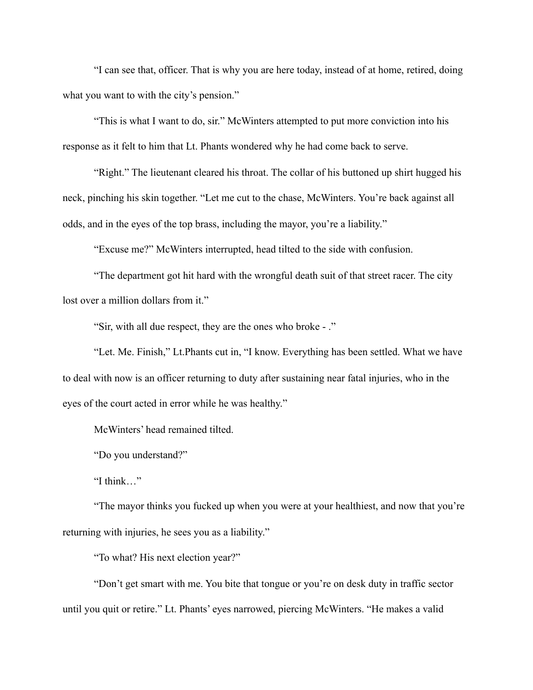"I can see that, officer. That is why you are here today, instead of at home, retired, doing what you want to with the city's pension."

 "This is what I want to do, sir." McWinters attempted to put more conviction into his response as it felt to him that Lt. Phants wondered why he had come back to serve.

 "Right." The lieutenant cleared his throat. The collar of his buttoned up shirt hugged his neck, pinching his skin together. "Let me cut to the chase, McWinters. You're back against all odds, and in the eyes of the top brass, including the mayor, you're a liability."

"Excuse me?" McWinters interrupted, head tilted to the side with confusion.

 "The department got hit hard with the wrongful death suit of that street racer. The city lost over a million dollars from it."

"Sir, with all due respect, they are the ones who broke - ."

 "Let. Me. Finish," Lt.Phants cut in, "I know. Everything has been settled. What we have to deal with now is an officer returning to duty after sustaining near fatal injuries, who in the eyes of the court acted in error while he was healthy."

McWinters' head remained tilted.

"Do you understand?"

"I think…"

 "The mayor thinks you fucked up when you were at your healthiest, and now that you're returning with injuries, he sees you as a liability."

"To what? His next election year?"

 "Don't get smart with me. You bite that tongue or you're on desk duty in traffic sector until you quit or retire." Lt. Phants' eyes narrowed, piercing McWinters. "He makes a valid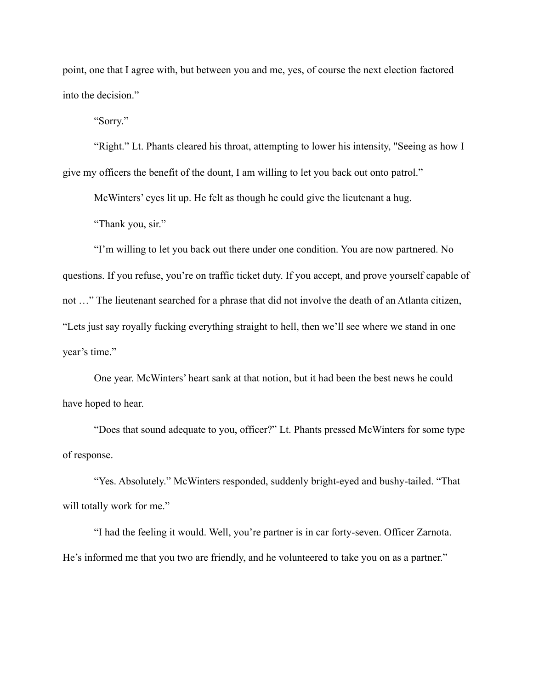point, one that I agree with, but between you and me, yes, of course the next election factored into the decision."

"Sorry."

 "Right." Lt. Phants cleared his throat, attempting to lower his intensity, "Seeing as how I give my officers the benefit of the dount, I am willing to let you back out onto patrol."

McWinters' eyes lit up. He felt as though he could give the lieutenant a hug.

"Thank you, sir."

 "I'm willing to let you back out there under one condition. You are now partnered. No questions. If you refuse, you're on traffic ticket duty. If you accept, and prove yourself capable of not …" The lieutenant searched for a phrase that did not involve the death of an Atlanta citizen, "Lets just say royally fucking everything straight to hell, then we'll see where we stand in one year's time."

 One year. McWinters' heart sank at that notion, but it had been the best news he could have hoped to hear.

 "Does that sound adequate to you, officer?" Lt. Phants pressed McWinters for some type of response.

 "Yes. Absolutely." McWinters responded, suddenly bright-eyed and bushy-tailed. "That will totally work for me."

 "I had the feeling it would. Well, you're partner is in car forty-seven. Officer Zarnota. He's informed me that you two are friendly, and he volunteered to take you on as a partner."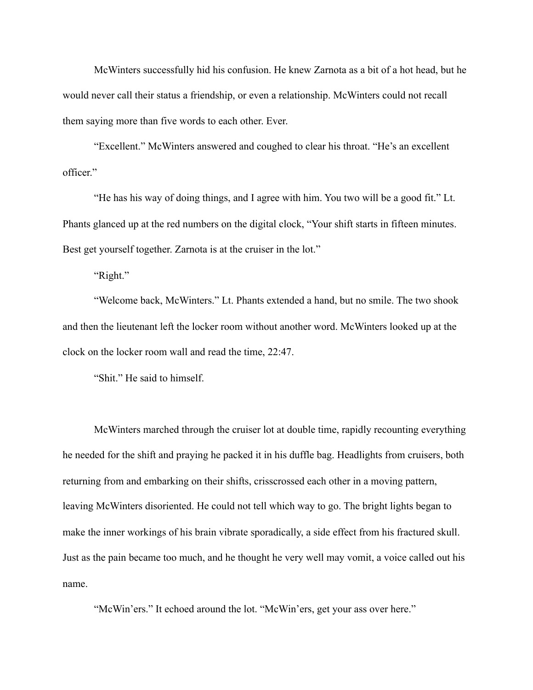McWinters successfully hid his confusion. He knew Zarnota as a bit of a hot head, but he would never call their status a friendship, or even a relationship. McWinters could not recall them saying more than five words to each other. Ever.

 "Excellent." McWinters answered and coughed to clear his throat. "He's an excellent officer."

 "He has his way of doing things, and I agree with him. You two will be a good fit." Lt. Phants glanced up at the red numbers on the digital clock, "Your shift starts in fifteen minutes. Best get yourself together. Zarnota is at the cruiser in the lot."

"Right."

 "Welcome back, McWinters." Lt. Phants extended a hand, but no smile. The two shook and then the lieutenant left the locker room without another word. McWinters looked up at the clock on the locker room wall and read the time, 22:47.

"Shit." He said to himself.

 McWinters marched through the cruiser lot at double time, rapidly recounting everything he needed for the shift and praying he packed it in his duffle bag. Headlights from cruisers, both returning from and embarking on their shifts, crisscrossed each other in a moving pattern, leaving McWinters disoriented. He could not tell which way to go. The bright lights began to make the inner workings of his brain vibrate sporadically, a side effect from his fractured skull. Just as the pain became too much, and he thought he very well may vomit, a voice called out his name.

"McWin'ers." It echoed around the lot. "McWin'ers, get your ass over here."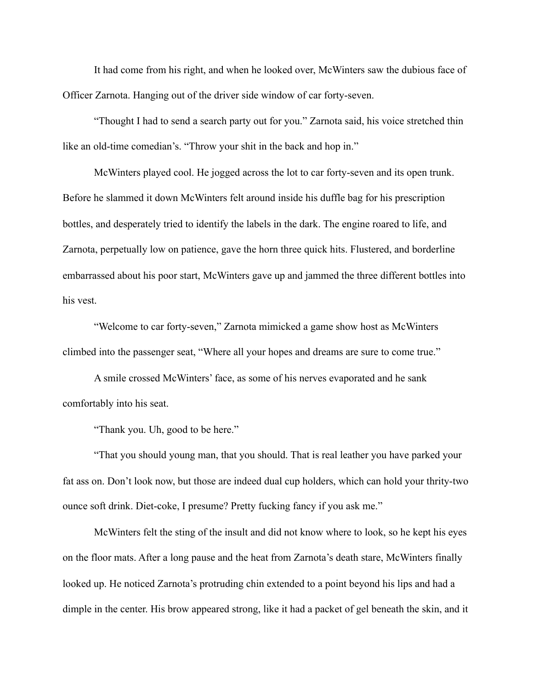It had come from his right, and when he looked over, McWinters saw the dubious face of Officer Zarnota. Hanging out of the driver side window of car forty-seven.

 "Thought I had to send a search party out for you." Zarnota said, his voice stretched thin like an old-time comedian's. "Throw your shit in the back and hop in."

 McWinters played cool. He jogged across the lot to car forty-seven and its open trunk. Before he slammed it down McWinters felt around inside his duffle bag for his prescription bottles, and desperately tried to identify the labels in the dark. The engine roared to life, and Zarnota, perpetually low on patience, gave the horn three quick hits. Flustered, and borderline embarrassed about his poor start, McWinters gave up and jammed the three different bottles into his vest.

 "Welcome to car forty-seven," Zarnota mimicked a game show host as McWinters climbed into the passenger seat, "Where all your hopes and dreams are sure to come true."

 A smile crossed McWinters' face, as some of his nerves evaporated and he sank comfortably into his seat.

"Thank you. Uh, good to be here."

 "That you should young man, that you should. That is real leather you have parked your fat ass on. Don't look now, but those are indeed dual cup holders, which can hold your thrity-two ounce soft drink. Diet-coke, I presume? Pretty fucking fancy if you ask me."

 McWinters felt the sting of the insult and did not know where to look, so he kept his eyes on the floor mats. After a long pause and the heat from Zarnota's death stare, McWinters finally looked up. He noticed Zarnota's protruding chin extended to a point beyond his lips and had a dimple in the center. His brow appeared strong, like it had a packet of gel beneath the skin, and it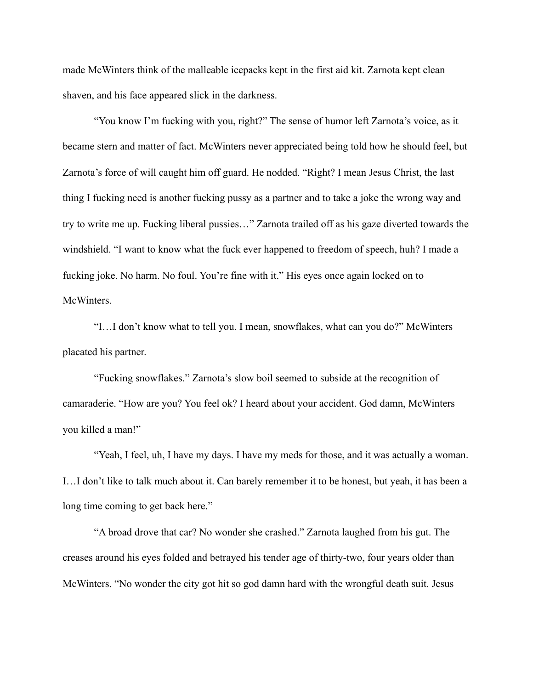made McWinters think of the malleable icepacks kept in the first aid kit. Zarnota kept clean shaven, and his face appeared slick in the darkness.

 "You know I'm fucking with you, right?" The sense of humor left Zarnota's voice, as it became stern and matter of fact. McWinters never appreciated being told how he should feel, but Zarnota's force of will caught him off guard. He nodded. "Right? I mean Jesus Christ, the last thing I fucking need is another fucking pussy as a partner and to take a joke the wrong way and try to write me up. Fucking liberal pussies…" Zarnota trailed off as his gaze diverted towards the windshield. "I want to know what the fuck ever happened to freedom of speech, huh? I made a fucking joke. No harm. No foul. You're fine with it." His eyes once again locked on to McWinters.

 "I…I don't know what to tell you. I mean, snowflakes, what can you do?" McWinters placated his partner.

 "Fucking snowflakes." Zarnota's slow boil seemed to subside at the recognition of camaraderie. "How are you? You feel ok? I heard about your accident. God damn, McWinters you killed a man!"

 "Yeah, I feel, uh, I have my days. I have my meds for those, and it was actually a woman. I…I don't like to talk much about it. Can barely remember it to be honest, but yeah, it has been a long time coming to get back here."

 "A broad drove that car? No wonder she crashed." Zarnota laughed from his gut. The creases around his eyes folded and betrayed his tender age of thirty-two, four years older than McWinters. "No wonder the city got hit so god damn hard with the wrongful death suit. Jesus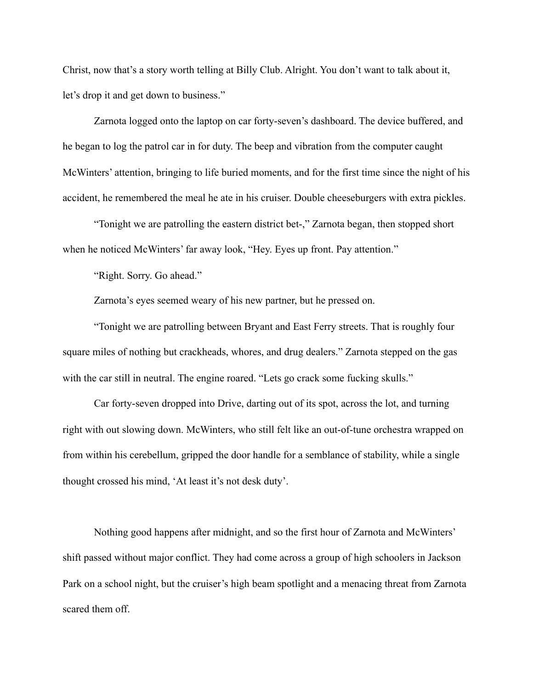Christ, now that's a story worth telling at Billy Club. Alright. You don't want to talk about it, let's drop it and get down to business."

 Zarnota logged onto the laptop on car forty-seven's dashboard. The device buffered, and he began to log the patrol car in for duty. The beep and vibration from the computer caught McWinters' attention, bringing to life buried moments, and for the first time since the night of his accident, he remembered the meal he ate in his cruiser. Double cheeseburgers with extra pickles.

 "Tonight we are patrolling the eastern district bet-," Zarnota began, then stopped short when he noticed McWinters' far away look, "Hey. Eyes up front. Pay attention."

"Right. Sorry. Go ahead."

Zarnota's eyes seemed weary of his new partner, but he pressed on.

 "Tonight we are patrolling between Bryant and East Ferry streets. That is roughly four square miles of nothing but crackheads, whores, and drug dealers." Zarnota stepped on the gas with the car still in neutral. The engine roared. "Lets go crack some fucking skulls."

 Car forty-seven dropped into Drive, darting out of its spot, across the lot, and turning right with out slowing down. McWinters, who still felt like an out-of-tune orchestra wrapped on from within his cerebellum, gripped the door handle for a semblance of stability, while a single thought crossed his mind, 'At least it's not desk duty'.

 Nothing good happens after midnight, and so the first hour of Zarnota and McWinters' shift passed without major conflict. They had come across a group of high schoolers in Jackson Park on a school night, but the cruiser's high beam spotlight and a menacing threat from Zarnota scared them off.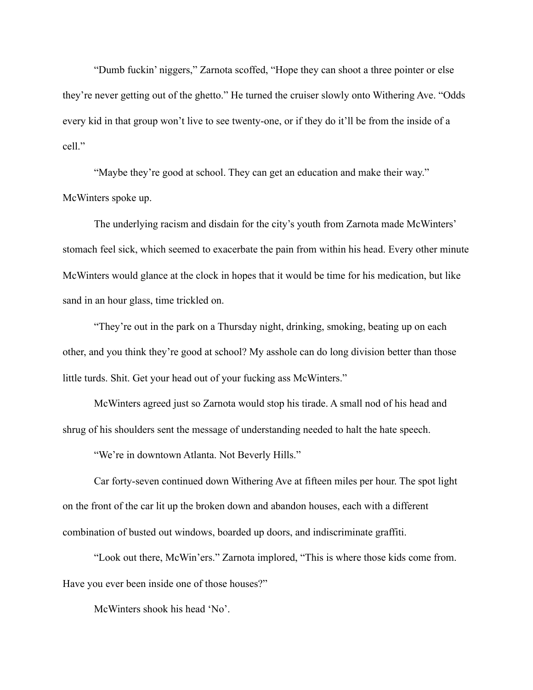"Dumb fuckin' niggers," Zarnota scoffed, "Hope they can shoot a three pointer or else they're never getting out of the ghetto." He turned the cruiser slowly onto Withering Ave. "Odds every kid in that group won't live to see twenty-one, or if they do it'll be from the inside of a cell."

 "Maybe they're good at school. They can get an education and make their way." McWinters spoke up.

 The underlying racism and disdain for the city's youth from Zarnota made McWinters' stomach feel sick, which seemed to exacerbate the pain from within his head. Every other minute McWinters would glance at the clock in hopes that it would be time for his medication, but like sand in an hour glass, time trickled on.

 "They're out in the park on a Thursday night, drinking, smoking, beating up on each other, and you think they're good at school? My asshole can do long division better than those little turds. Shit. Get your head out of your fucking ass McWinters."

 McWinters agreed just so Zarnota would stop his tirade. A small nod of his head and shrug of his shoulders sent the message of understanding needed to halt the hate speech.

"We're in downtown Atlanta. Not Beverly Hills."

 Car forty-seven continued down Withering Ave at fifteen miles per hour. The spot light on the front of the car lit up the broken down and abandon houses, each with a different combination of busted out windows, boarded up doors, and indiscriminate graffiti.

 "Look out there, McWin'ers." Zarnota implored, "This is where those kids come from. Have you ever been inside one of those houses?"

McWinters shook his head 'No'.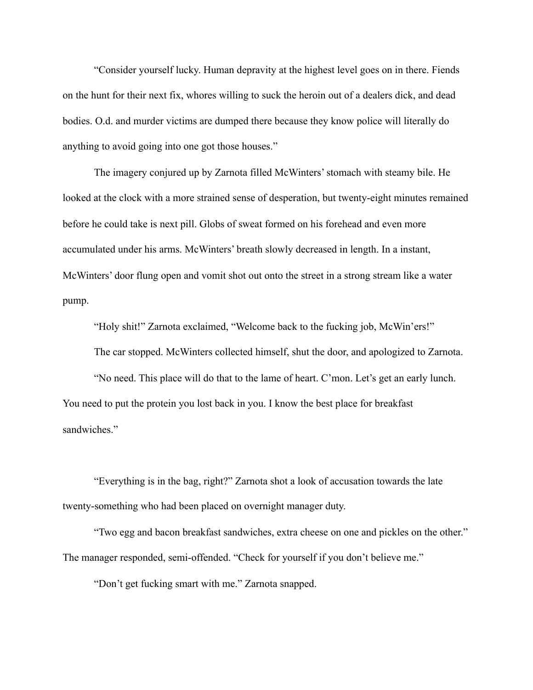"Consider yourself lucky. Human depravity at the highest level goes on in there. Fiends on the hunt for their next fix, whores willing to suck the heroin out of a dealers dick, and dead bodies. O.d. and murder victims are dumped there because they know police will literally do anything to avoid going into one got those houses."

 The imagery conjured up by Zarnota filled McWinters' stomach with steamy bile. He looked at the clock with a more strained sense of desperation, but twenty-eight minutes remained before he could take is next pill. Globs of sweat formed on his forehead and even more accumulated under his arms. McWinters' breath slowly decreased in length. In a instant, McWinters' door flung open and vomit shot out onto the street in a strong stream like a water pump.

"Holy shit!" Zarnota exclaimed, "Welcome back to the fucking job, McWin'ers!"

The car stopped. McWinters collected himself, shut the door, and apologized to Zarnota.

 "No need. This place will do that to the lame of heart. C'mon. Let's get an early lunch. You need to put the protein you lost back in you. I know the best place for breakfast sandwiches."

 "Everything is in the bag, right?" Zarnota shot a look of accusation towards the late twenty-something who had been placed on overnight manager duty.

 "Two egg and bacon breakfast sandwiches, extra cheese on one and pickles on the other." The manager responded, semi-offended. "Check for yourself if you don't believe me."

"Don't get fucking smart with me." Zarnota snapped.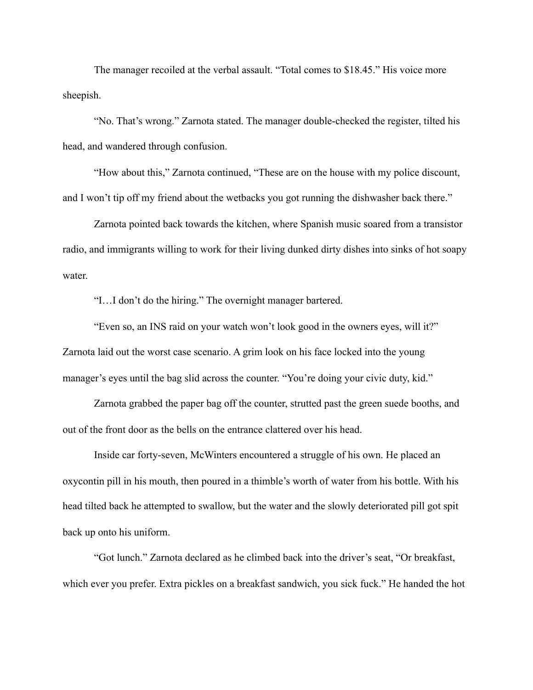The manager recoiled at the verbal assault. "Total comes to \$18.45." His voice more sheepish.

 "No. That's wrong." Zarnota stated. The manager double-checked the register, tilted his head, and wandered through confusion.

 "How about this," Zarnota continued, "These are on the house with my police discount, and I won't tip off my friend about the wetbacks you got running the dishwasher back there."

 Zarnota pointed back towards the kitchen, where Spanish music soared from a transistor radio, and immigrants willing to work for their living dunked dirty dishes into sinks of hot soapy water.

"I…I don't do the hiring." The overnight manager bartered.

 "Even so, an INS raid on your watch won't look good in the owners eyes, will it?" Zarnota laid out the worst case scenario. A grim look on his face locked into the young manager's eyes until the bag slid across the counter. "You're doing your civic duty, kid."

 Zarnota grabbed the paper bag off the counter, strutted past the green suede booths, and out of the front door as the bells on the entrance clattered over his head.

 Inside car forty-seven, McWinters encountered a struggle of his own. He placed an oxycontin pill in his mouth, then poured in a thimble's worth of water from his bottle. With his head tilted back he attempted to swallow, but the water and the slowly deteriorated pill got spit back up onto his uniform.

 "Got lunch." Zarnota declared as he climbed back into the driver's seat, "Or breakfast, which ever you prefer. Extra pickles on a breakfast sandwich, you sick fuck." He handed the hot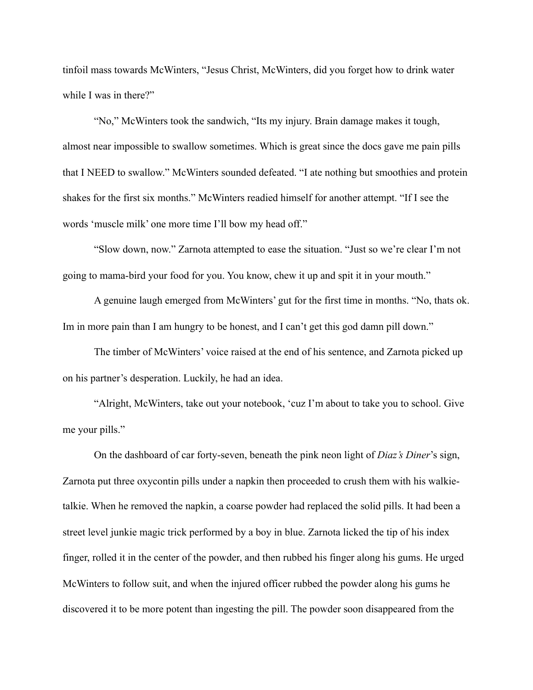tinfoil mass towards McWinters, "Jesus Christ, McWinters, did you forget how to drink water while I was in there?"

 "No," McWinters took the sandwich, "Its my injury. Brain damage makes it tough, almost near impossible to swallow sometimes. Which is great since the docs gave me pain pills that I NEED to swallow." McWinters sounded defeated. "I ate nothing but smoothies and protein shakes for the first six months." McWinters readied himself for another attempt. "If I see the words 'muscle milk' one more time I'll bow my head off."

 "Slow down, now." Zarnota attempted to ease the situation. "Just so we're clear I'm not going to mama-bird your food for you. You know, chew it up and spit it in your mouth."

 A genuine laugh emerged from McWinters' gut for the first time in months. "No, thats ok. Im in more pain than I am hungry to be honest, and I can't get this god damn pill down."

 The timber of McWinters' voice raised at the end of his sentence, and Zarnota picked up on his partner's desperation. Luckily, he had an idea.

 "Alright, McWinters, take out your notebook, 'cuz I'm about to take you to school. Give me your pills."

 On the dashboard of car forty-seven, beneath the pink neon light of *Diaz's Diner*'s sign, Zarnota put three oxycontin pills under a napkin then proceeded to crush them with his walkietalkie. When he removed the napkin, a coarse powder had replaced the solid pills. It had been a street level junkie magic trick performed by a boy in blue. Zarnota licked the tip of his index finger, rolled it in the center of the powder, and then rubbed his finger along his gums. He urged McWinters to follow suit, and when the injured officer rubbed the powder along his gums he discovered it to be more potent than ingesting the pill. The powder soon disappeared from the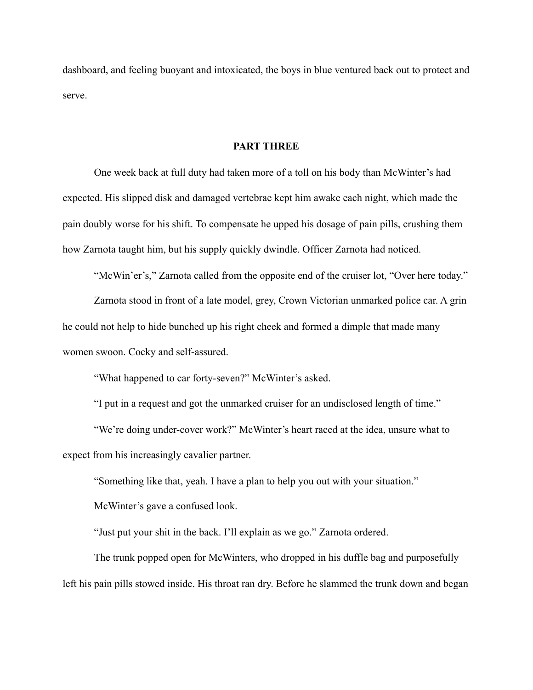dashboard, and feeling buoyant and intoxicated, the boys in blue ventured back out to protect and serve.

## **PART THREE**

 One week back at full duty had taken more of a toll on his body than McWinter's had expected. His slipped disk and damaged vertebrae kept him awake each night, which made the pain doubly worse for his shift. To compensate he upped his dosage of pain pills, crushing them how Zarnota taught him, but his supply quickly dwindle. Officer Zarnota had noticed.

"McWin'er's," Zarnota called from the opposite end of the cruiser lot, "Over here today."

 Zarnota stood in front of a late model, grey, Crown Victorian unmarked police car. A grin he could not help to hide bunched up his right cheek and formed a dimple that made many women swoon. Cocky and self-assured.

"What happened to car forty-seven?" McWinter's asked.

"I put in a request and got the unmarked cruiser for an undisclosed length of time."

 "We're doing under-cover work?" McWinter's heart raced at the idea, unsure what to expect from his increasingly cavalier partner.

"Something like that, yeah. I have a plan to help you out with your situation."

McWinter's gave a confused look.

"Just put your shit in the back. I'll explain as we go." Zarnota ordered.

 The trunk popped open for McWinters, who dropped in his duffle bag and purposefully left his pain pills stowed inside. His throat ran dry. Before he slammed the trunk down and began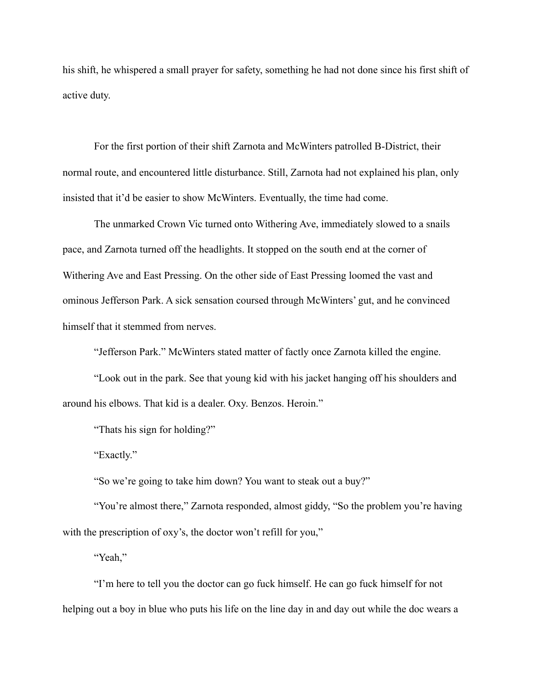his shift, he whispered a small prayer for safety, something he had not done since his first shift of active duty.

 For the first portion of their shift Zarnota and McWinters patrolled B-District, their normal route, and encountered little disturbance. Still, Zarnota had not explained his plan, only insisted that it'd be easier to show McWinters. Eventually, the time had come.

 The unmarked Crown Vic turned onto Withering Ave, immediately slowed to a snails pace, and Zarnota turned off the headlights. It stopped on the south end at the corner of Withering Ave and East Pressing. On the other side of East Pressing loomed the vast and ominous Jefferson Park. A sick sensation coursed through McWinters' gut, and he convinced himself that it stemmed from nerves.

"Jefferson Park." McWinters stated matter of factly once Zarnota killed the engine.

 "Look out in the park. See that young kid with his jacket hanging off his shoulders and around his elbows. That kid is a dealer. Oxy. Benzos. Heroin."

"Thats his sign for holding?"

"Exactly."

"So we're going to take him down? You want to steak out a buy?"

"You're almost there," Zarnota responded, almost giddy, "So the problem you're having with the prescription of oxy's, the doctor won't refill for you,"

"Yeah,"

 "I'm here to tell you the doctor can go fuck himself. He can go fuck himself for not helping out a boy in blue who puts his life on the line day in and day out while the doc wears a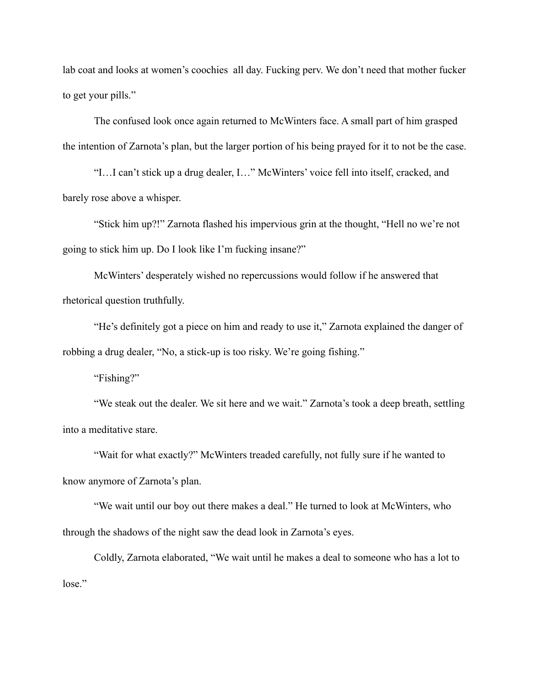lab coat and looks at women's coochies all day. Fucking perv. We don't need that mother fucker to get your pills."

 The confused look once again returned to McWinters face. A small part of him grasped the intention of Zarnota's plan, but the larger portion of his being prayed for it to not be the case.

 "I…I can't stick up a drug dealer, I…" McWinters' voice fell into itself, cracked, and barely rose above a whisper.

 "Stick him up?!" Zarnota flashed his impervious grin at the thought, "Hell no we're not going to stick him up. Do I look like I'm fucking insane?"

 McWinters' desperately wished no repercussions would follow if he answered that rhetorical question truthfully.

 "He's definitely got a piece on him and ready to use it," Zarnota explained the danger of robbing a drug dealer, "No, a stick-up is too risky. We're going fishing."

"Fishing?"

 "We steak out the dealer. We sit here and we wait." Zarnota's took a deep breath, settling into a meditative stare.

 "Wait for what exactly?" McWinters treaded carefully, not fully sure if he wanted to know anymore of Zarnota's plan.

 "We wait until our boy out there makes a deal." He turned to look at McWinters, who through the shadows of the night saw the dead look in Zarnota's eyes.

 Coldly, Zarnota elaborated, "We wait until he makes a deal to someone who has a lot to lose."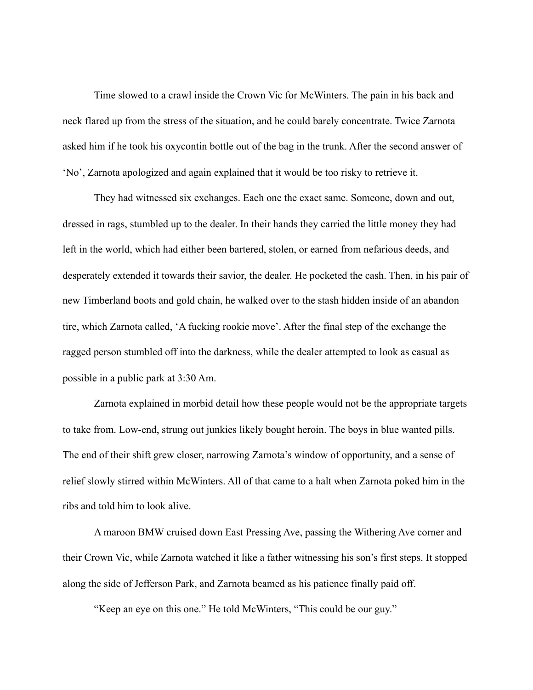Time slowed to a crawl inside the Crown Vic for McWinters. The pain in his back and neck flared up from the stress of the situation, and he could barely concentrate. Twice Zarnota asked him if he took his oxycontin bottle out of the bag in the trunk. After the second answer of 'No', Zarnota apologized and again explained that it would be too risky to retrieve it.

 They had witnessed six exchanges. Each one the exact same. Someone, down and out, dressed in rags, stumbled up to the dealer. In their hands they carried the little money they had left in the world, which had either been bartered, stolen, or earned from nefarious deeds, and desperately extended it towards their savior, the dealer. He pocketed the cash. Then, in his pair of new Timberland boots and gold chain, he walked over to the stash hidden inside of an abandon tire, which Zarnota called, 'A fucking rookie move'. After the final step of the exchange the ragged person stumbled off into the darkness, while the dealer attempted to look as casual as possible in a public park at 3:30 Am.

 Zarnota explained in morbid detail how these people would not be the appropriate targets to take from. Low-end, strung out junkies likely bought heroin. The boys in blue wanted pills. The end of their shift grew closer, narrowing Zarnota's window of opportunity, and a sense of relief slowly stirred within McWinters. All of that came to a halt when Zarnota poked him in the ribs and told him to look alive.

 A maroon BMW cruised down East Pressing Ave, passing the Withering Ave corner and their Crown Vic, while Zarnota watched it like a father witnessing his son's first steps. It stopped along the side of Jefferson Park, and Zarnota beamed as his patience finally paid off.

"Keep an eye on this one." He told McWinters, "This could be our guy."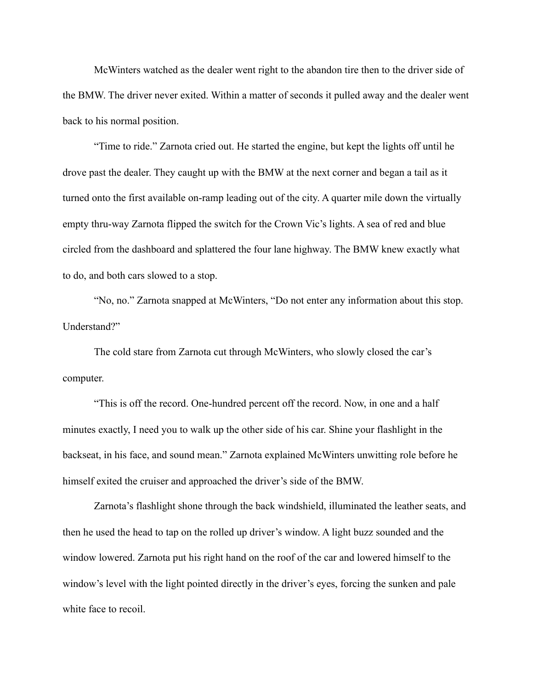McWinters watched as the dealer went right to the abandon tire then to the driver side of the BMW. The driver never exited. Within a matter of seconds it pulled away and the dealer went back to his normal position.

 "Time to ride." Zarnota cried out. He started the engine, but kept the lights off until he drove past the dealer. They caught up with the BMW at the next corner and began a tail as it turned onto the first available on-ramp leading out of the city. A quarter mile down the virtually empty thru-way Zarnota flipped the switch for the Crown Vic's lights. A sea of red and blue circled from the dashboard and splattered the four lane highway. The BMW knew exactly what to do, and both cars slowed to a stop.

 "No, no." Zarnota snapped at McWinters, "Do not enter any information about this stop. Understand?"

 The cold stare from Zarnota cut through McWinters, who slowly closed the car's computer.

 "This is off the record. One-hundred percent off the record. Now, in one and a half minutes exactly, I need you to walk up the other side of his car. Shine your flashlight in the backseat, in his face, and sound mean." Zarnota explained McWinters unwitting role before he himself exited the cruiser and approached the driver's side of the BMW.

 Zarnota's flashlight shone through the back windshield, illuminated the leather seats, and then he used the head to tap on the rolled up driver's window. A light buzz sounded and the window lowered. Zarnota put his right hand on the roof of the car and lowered himself to the window's level with the light pointed directly in the driver's eyes, forcing the sunken and pale white face to recoil.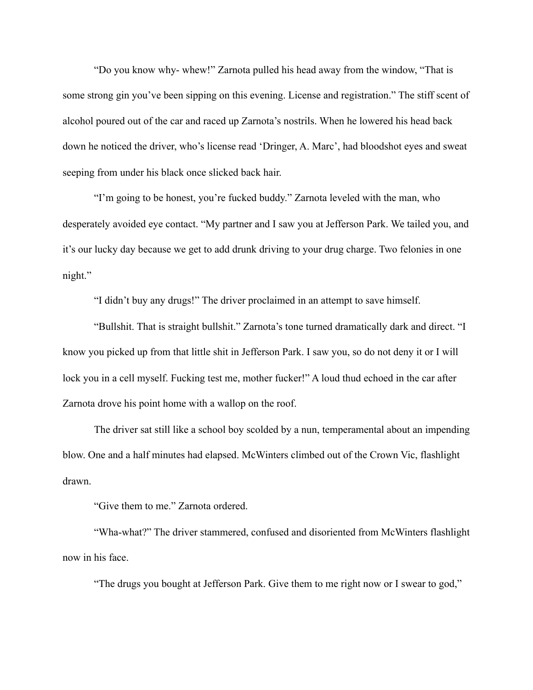"Do you know why- whew!" Zarnota pulled his head away from the window, "That is some strong gin you've been sipping on this evening. License and registration." The stiff scent of alcohol poured out of the car and raced up Zarnota's nostrils. When he lowered his head back down he noticed the driver, who's license read 'Dringer, A. Marc', had bloodshot eyes and sweat seeping from under his black once slicked back hair.

 "I'm going to be honest, you're fucked buddy." Zarnota leveled with the man, who desperately avoided eye contact. "My partner and I saw you at Jefferson Park. We tailed you, and it's our lucky day because we get to add drunk driving to your drug charge. Two felonies in one night."

"I didn't buy any drugs!" The driver proclaimed in an attempt to save himself.

 "Bullshit. That is straight bullshit." Zarnota's tone turned dramatically dark and direct. "I know you picked up from that little shit in Jefferson Park. I saw you, so do not deny it or I will lock you in a cell myself. Fucking test me, mother fucker!" A loud thud echoed in the car after Zarnota drove his point home with a wallop on the roof.

 The driver sat still like a school boy scolded by a nun, temperamental about an impending blow. One and a half minutes had elapsed. McWinters climbed out of the Crown Vic, flashlight drawn.

"Give them to me." Zarnota ordered.

 "Wha-what?" The driver stammered, confused and disoriented from McWinters flashlight now in his face.

"The drugs you bought at Jefferson Park. Give them to me right now or I swear to god,"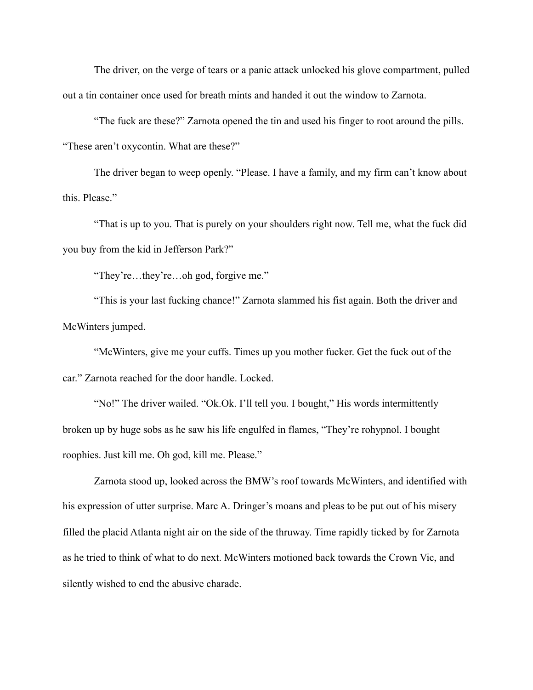The driver, on the verge of tears or a panic attack unlocked his glove compartment, pulled out a tin container once used for breath mints and handed it out the window to Zarnota.

 "The fuck are these?" Zarnota opened the tin and used his finger to root around the pills. "These aren't oxycontin. What are these?"

 The driver began to weep openly. "Please. I have a family, and my firm can't know about this. Please."

 "That is up to you. That is purely on your shoulders right now. Tell me, what the fuck did you buy from the kid in Jefferson Park?"

"They're…they're…oh god, forgive me."

 "This is your last fucking chance!" Zarnota slammed his fist again. Both the driver and McWinters jumped.

 "McWinters, give me your cuffs. Times up you mother fucker. Get the fuck out of the car." Zarnota reached for the door handle. Locked.

 "No!" The driver wailed. "Ok.Ok. I'll tell you. I bought," His words intermittently broken up by huge sobs as he saw his life engulfed in flames, "They're rohypnol. I bought roophies. Just kill me. Oh god, kill me. Please."

 Zarnota stood up, looked across the BMW's roof towards McWinters, and identified with his expression of utter surprise. Marc A. Dringer's moans and pleas to be put out of his misery filled the placid Atlanta night air on the side of the thruway. Time rapidly ticked by for Zarnota as he tried to think of what to do next. McWinters motioned back towards the Crown Vic, and silently wished to end the abusive charade.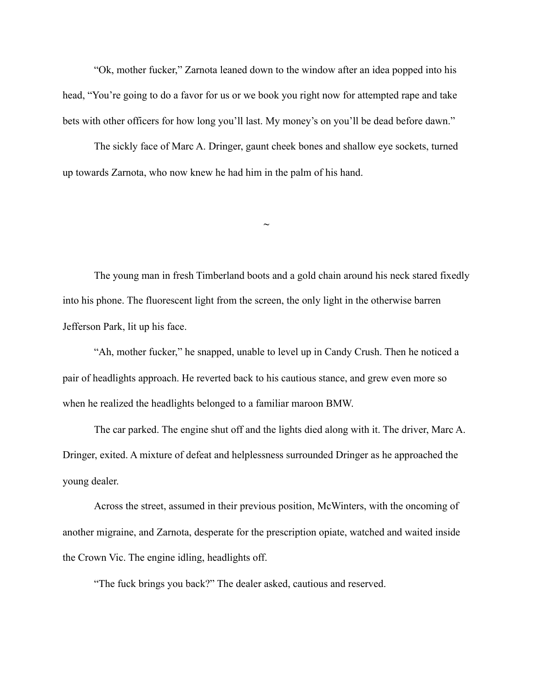"Ok, mother fucker," Zarnota leaned down to the window after an idea popped into his head, "You're going to do a favor for us or we book you right now for attempted rape and take bets with other officers for how long you'll last. My money's on you'll be dead before dawn."

 The sickly face of Marc A. Dringer, gaunt cheek bones and shallow eye sockets, turned up towards Zarnota, who now knew he had him in the palm of his hand.

 The young man in fresh Timberland boots and a gold chain around his neck stared fixedly into his phone. The fluorescent light from the screen, the only light in the otherwise barren Jefferson Park, lit up his face.

**~**

 "Ah, mother fucker," he snapped, unable to level up in Candy Crush. Then he noticed a pair of headlights approach. He reverted back to his cautious stance, and grew even more so when he realized the headlights belonged to a familiar maroon BMW.

 The car parked. The engine shut off and the lights died along with it. The driver, Marc A. Dringer, exited. A mixture of defeat and helplessness surrounded Dringer as he approached the young dealer.

 Across the street, assumed in their previous position, McWinters, with the oncoming of another migraine, and Zarnota, desperate for the prescription opiate, watched and waited inside the Crown Vic. The engine idling, headlights off.

"The fuck brings you back?" The dealer asked, cautious and reserved.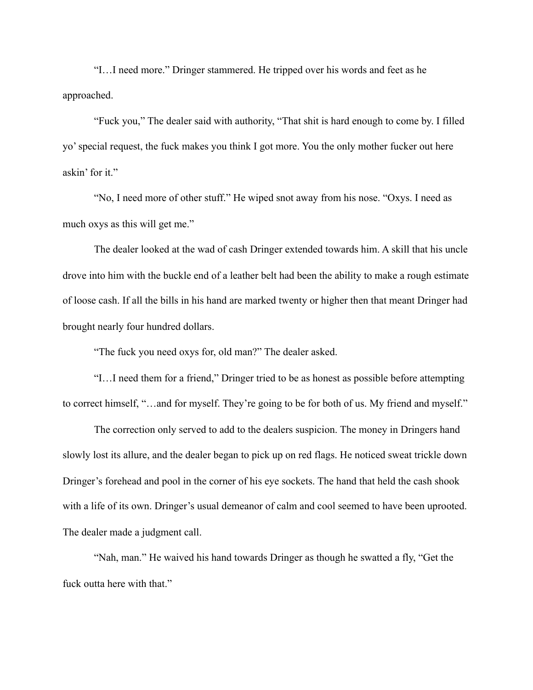"I…I need more." Dringer stammered. He tripped over his words and feet as he approached.

 "Fuck you," The dealer said with authority, "That shit is hard enough to come by. I filled yo' special request, the fuck makes you think I got more. You the only mother fucker out here askin' for it."

 "No, I need more of other stuff." He wiped snot away from his nose. "Oxys. I need as much oxys as this will get me."

 The dealer looked at the wad of cash Dringer extended towards him. A skill that his uncle drove into him with the buckle end of a leather belt had been the ability to make a rough estimate of loose cash. If all the bills in his hand are marked twenty or higher then that meant Dringer had brought nearly four hundred dollars.

"The fuck you need oxys for, old man?" The dealer asked.

 "I…I need them for a friend," Dringer tried to be as honest as possible before attempting to correct himself, "…and for myself. They're going to be for both of us. My friend and myself."

 The correction only served to add to the dealers suspicion. The money in Dringers hand slowly lost its allure, and the dealer began to pick up on red flags. He noticed sweat trickle down Dringer's forehead and pool in the corner of his eye sockets. The hand that held the cash shook with a life of its own. Dringer's usual demeanor of calm and cool seemed to have been uprooted. The dealer made a judgment call.

 "Nah, man." He waived his hand towards Dringer as though he swatted a fly, "Get the fuck outta here with that."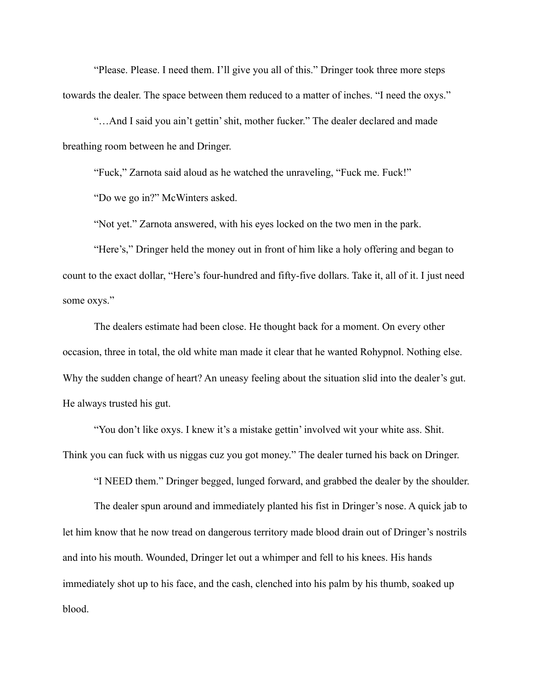"Please. Please. I need them. I'll give you all of this." Dringer took three more steps towards the dealer. The space between them reduced to a matter of inches. "I need the oxys."

 "…And I said you ain't gettin' shit, mother fucker." The dealer declared and made breathing room between he and Dringer.

"Fuck," Zarnota said aloud as he watched the unraveling, "Fuck me. Fuck!"

"Do we go in?" McWinters asked.

"Not yet." Zarnota answered, with his eyes locked on the two men in the park.

 "Here's," Dringer held the money out in front of him like a holy offering and began to count to the exact dollar, "Here's four-hundred and fifty-five dollars. Take it, all of it. I just need some oxys."

 The dealers estimate had been close. He thought back for a moment. On every other occasion, three in total, the old white man made it clear that he wanted Rohypnol. Nothing else. Why the sudden change of heart? An uneasy feeling about the situation slid into the dealer's gut. He always trusted his gut.

 "You don't like oxys. I knew it's a mistake gettin' involved wit your white ass. Shit. Think you can fuck with us niggas cuz you got money." The dealer turned his back on Dringer.

"I NEED them." Dringer begged, lunged forward, and grabbed the dealer by the shoulder.

 The dealer spun around and immediately planted his fist in Dringer's nose. A quick jab to let him know that he now tread on dangerous territory made blood drain out of Dringer's nostrils and into his mouth. Wounded, Dringer let out a whimper and fell to his knees. His hands immediately shot up to his face, and the cash, clenched into his palm by his thumb, soaked up blood.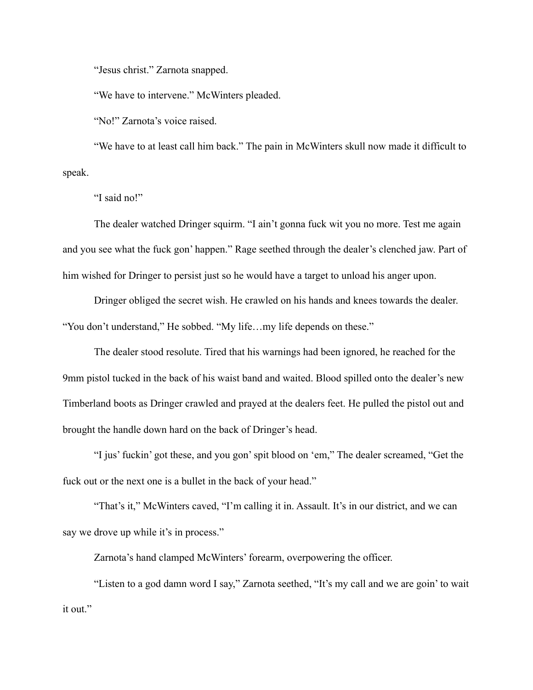"Jesus christ." Zarnota snapped.

"We have to intervene." McWinters pleaded.

"No!" Zarnota's voice raised.

 "We have to at least call him back." The pain in McWinters skull now made it difficult to speak.

"I said no!"

 The dealer watched Dringer squirm. "I ain't gonna fuck wit you no more. Test me again and you see what the fuck gon' happen." Rage seethed through the dealer's clenched jaw. Part of him wished for Dringer to persist just so he would have a target to unload his anger upon.

 Dringer obliged the secret wish. He crawled on his hands and knees towards the dealer. "You don't understand," He sobbed. "My life…my life depends on these."

 The dealer stood resolute. Tired that his warnings had been ignored, he reached for the 9mm pistol tucked in the back of his waist band and waited. Blood spilled onto the dealer's new Timberland boots as Dringer crawled and prayed at the dealers feet. He pulled the pistol out and brought the handle down hard on the back of Dringer's head.

 "I jus' fuckin' got these, and you gon' spit blood on 'em," The dealer screamed, "Get the fuck out or the next one is a bullet in the back of your head."

 "That's it," McWinters caved, "I'm calling it in. Assault. It's in our district, and we can say we drove up while it's in process."

Zarnota's hand clamped McWinters' forearm, overpowering the officer.

 "Listen to a god damn word I say," Zarnota seethed, "It's my call and we are goin' to wait it out."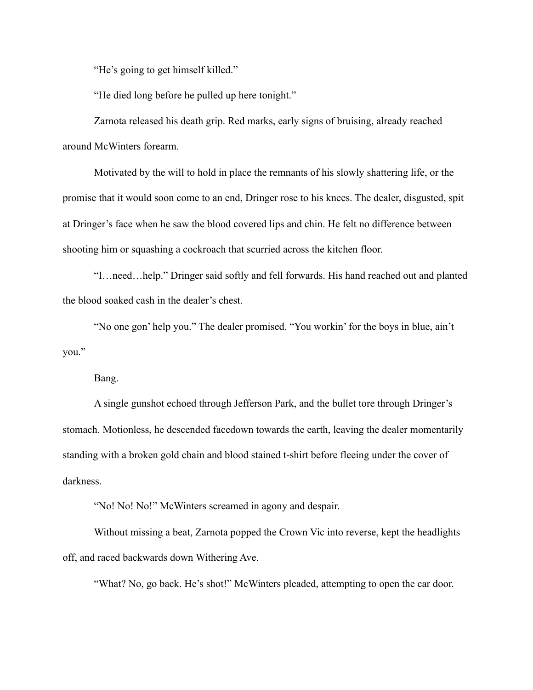"He's going to get himself killed."

"He died long before he pulled up here tonight."

 Zarnota released his death grip. Red marks, early signs of bruising, already reached around McWinters forearm.

 Motivated by the will to hold in place the remnants of his slowly shattering life, or the promise that it would soon come to an end, Dringer rose to his knees. The dealer, disgusted, spit at Dringer's face when he saw the blood covered lips and chin. He felt no difference between shooting him or squashing a cockroach that scurried across the kitchen floor.

 "I…need…help." Dringer said softly and fell forwards. His hand reached out and planted the blood soaked cash in the dealer's chest.

 "No one gon' help you." The dealer promised. "You workin' for the boys in blue, ain't you."

Bang.

 A single gunshot echoed through Jefferson Park, and the bullet tore through Dringer's stomach. Motionless, he descended facedown towards the earth, leaving the dealer momentarily standing with a broken gold chain and blood stained t-shirt before fleeing under the cover of darkness.

"No! No! No!" McWinters screamed in agony and despair.

 Without missing a beat, Zarnota popped the Crown Vic into reverse, kept the headlights off, and raced backwards down Withering Ave.

"What? No, go back. He's shot!" McWinters pleaded, attempting to open the car door.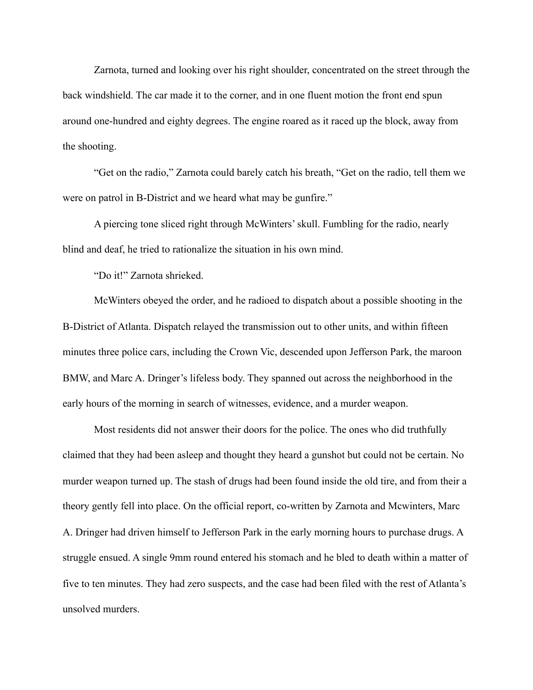Zarnota, turned and looking over his right shoulder, concentrated on the street through the back windshield. The car made it to the corner, and in one fluent motion the front end spun around one-hundred and eighty degrees. The engine roared as it raced up the block, away from the shooting.

 "Get on the radio," Zarnota could barely catch his breath, "Get on the radio, tell them we were on patrol in B-District and we heard what may be gunfire."

 A piercing tone sliced right through McWinters' skull. Fumbling for the radio, nearly blind and deaf, he tried to rationalize the situation in his own mind.

"Do it!" Zarnota shrieked.

 McWinters obeyed the order, and he radioed to dispatch about a possible shooting in the B-District of Atlanta. Dispatch relayed the transmission out to other units, and within fifteen minutes three police cars, including the Crown Vic, descended upon Jefferson Park, the maroon BMW, and Marc A. Dringer's lifeless body. They spanned out across the neighborhood in the early hours of the morning in search of witnesses, evidence, and a murder weapon.

 Most residents did not answer their doors for the police. The ones who did truthfully claimed that they had been asleep and thought they heard a gunshot but could not be certain. No murder weapon turned up. The stash of drugs had been found inside the old tire, and from their a theory gently fell into place. On the official report, co-written by Zarnota and Mcwinters, Marc A. Dringer had driven himself to Jefferson Park in the early morning hours to purchase drugs. A struggle ensued. A single 9mm round entered his stomach and he bled to death within a matter of five to ten minutes. They had zero suspects, and the case had been filed with the rest of Atlanta's unsolved murders.